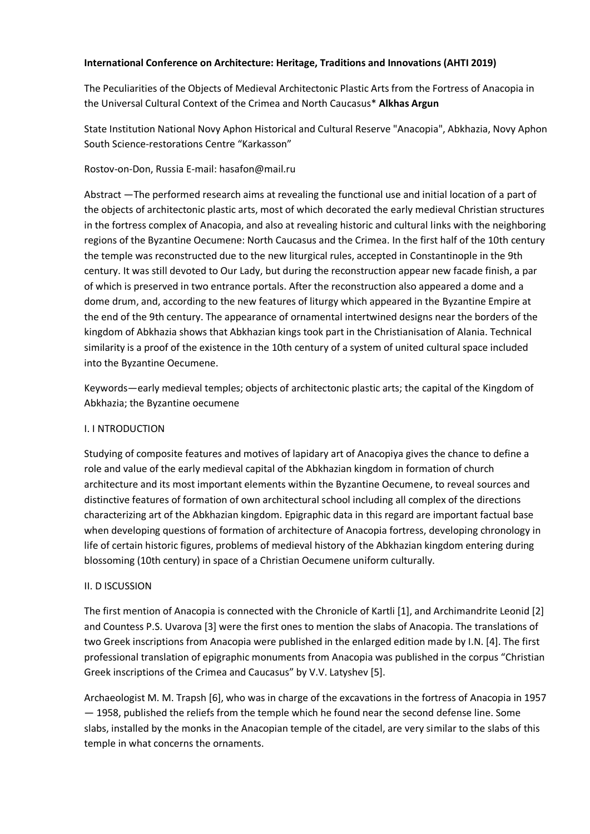## **International Conference on Architecture: Heritage, Traditions and Innovations (AHTI 2019)**

The Peculiarities of the Objects of Medieval Architectonic Plastic Arts from the Fortress of Anacopia in the Universal Cultural Context of the Crimea and North Caucasus\* **Alkhas Argun**

State Institution National Novy Aphon Historical and Cultural Reserve "Anacopia", Abkhazia, Novy Aphon South Science-restorations Centre "Karkasson"

# Rostov-on-Don, Russia E-mail: hasafon@mail.ru

Abstract —The performed research aims at revealing the functional use and initial location of a part of the objects of architectonic plastic arts, most of which decorated the early medieval Christian structures in the fortress complex of Anacopia, and also at revealing historic and cultural links with the neighboring regions of the Byzantine Oecumene: North Caucasus and the Crimea. In the first half of the 10th century the temple was reconstructed due to the new liturgical rules, accepted in Constantinople in the 9th century. It was still devoted to Our Lady, but during the reconstruction appear new facade finish, a par of which is preserved in two entrance portals. After the reconstruction also appeared a dome and a dome drum, and, according to the new features of liturgy which appeared in the Byzantine Empire at the end of the 9th century. The appearance of ornamental intertwined designs near the borders of the kingdom of Abkhazia shows that Abkhazian kings took part in the Christianisation of Alania. Technical similarity is a proof of the existence in the 10th century of a system of united cultural space included into the Byzantine Oecumene.

Keywords—early medieval temples; objects of architectonic plastic arts; the capital of the Kingdom of Abkhazia; the Byzantine oecumene

## I. I NTRODUCTION

Studying of composite features and motives of lapidary art of Anacopiya gives the chance to define a role and value of the early medieval capital of the Abkhazian kingdom in formation of church architecture and its most important elements within the Byzantine Oecumene, to reveal sources and distinctive features of formation of own architectural school including all complex of the directions characterizing art of the Abkhazian kingdom. Epigraphic data in this regard are important factual base when developing questions of formation of architecture of Anacopia fortress, developing chronology in life of certain historic figures, problems of medieval history of the Abkhazian kingdom entering during blossoming (10th century) in space of a Christian Oecumene uniform culturally.

## II. D ISCUSSION

The first mention of Anacopia is connected with the Chronicle of Kartli [1], and Archimandrite Leonid [2] and Countess P.S. Uvarova [3] were the first ones to mention the slabs of Anacopia. The translations of two Greek inscriptions from Anacopia were published in the enlarged edition made by I.N. [4]. The first professional translation of epigraphic monuments from Anacopia was published in the corpus "Christian Greek inscriptions of the Crimea and Caucasus" by V.V. Latyshev [5].

Archaeologist M. M. Trapsh [6], who was in charge of the excavations in the fortress of Anacopia in 1957 — 1958, published the reliefs from the temple which he found near the second defense line. Some slabs, installed by the monks in the Anacopian temple of the citadel, are very similar to the slabs of this temple in what concerns the ornaments.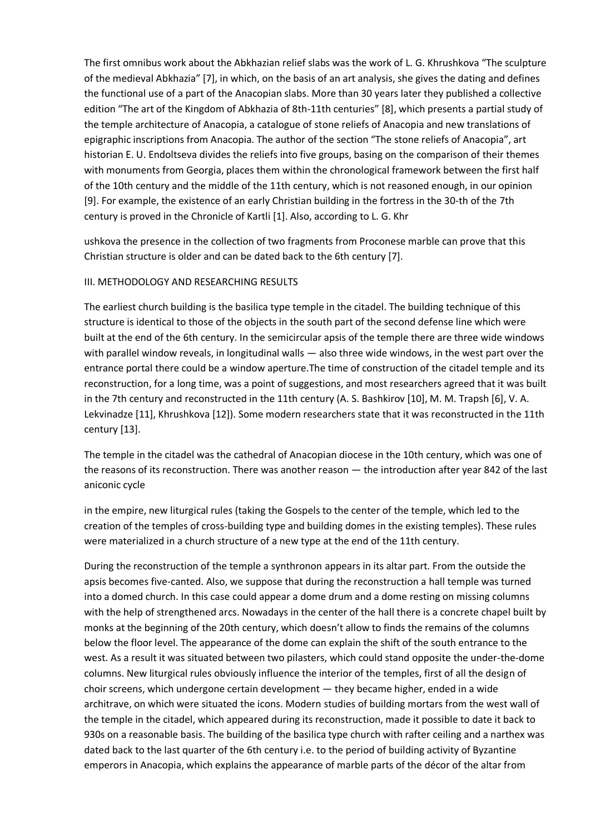The first omnibus work about the Abkhazian relief slabs was the work of L. G. Khrushkova "The sculpture of the medieval Abkhazia" [7], in which, on the basis of an art analysis, she gives the dating and defines the functional use of a part of the Anacopian slabs. More than 30 years later they published a collective edition "The art of the Kingdom of Abkhazia of 8th-11th centuries" [8], which presents a partial study of the temple architecture of Anacopia, a catalogue of stone reliefs of Anacopia and new translations of epigraphic inscriptions from Anacopia. The author of the section "The stone reliefs of Anacopia", art historian E. U. Endoltseva divides the reliefs into five groups, basing on the comparison of their themes with monuments from Georgia, places them within the chronological framework between the first half of the 10th century and the middle of the 11th century, which is not reasoned enough, in our opinion [9]. For example, the existence of an early Christian building in the fortress in the 30-th of the 7th century is proved in the Chronicle of Kartli [1]. Also, according to L. G. Khr

ushkova the presence in the collection of two fragments from Proconese marble can prove that this Christian structure is older and can be dated back to the 6th century [7].

#### III. METHODOLOGY AND RESEARCHING RESULTS

The earliest church building is the basilica type temple in the citadel. The building technique of this structure is identical to those of the objects in the south part of the second defense line which were built at the end of the 6th century. In the semicircular apsis of the temple there are three wide windows with parallel window reveals, in longitudinal walls — also three wide windows, in the west part over the entrance portal there could be a window aperture.The time of construction of the citadel temple and its reconstruction, for a long time, was a point of suggestions, and most researchers agreed that it was built in the 7th century and reconstructed in the 11th century (A. S. Bashkirov [10], M. M. Trapsh [6], V. A. Lekvinadze [11], Khrushkova [12]). Some modern researchers state that it was reconstructed in the 11th century [13].

The temple in the citadel was the cathedral of Anacopian diocese in the 10th century, which was one of the reasons of its reconstruction. There was another reason — the introduction after year 842 of the last aniconic cycle

in the empire, new liturgical rules (taking the Gospels to the center of the temple, which led to the creation of the temples of cross-building type and building domes in the existing temples). These rules were materialized in a church structure of a new type at the end of the 11th century.

During the reconstruction of the temple a synthronon appears in its altar part. From the outside the apsis becomes five-canted. Also, we suppose that during the reconstruction a hall temple was turned into a domed church. In this case could appear a dome drum and a dome resting on missing columns with the help of strengthened arcs. Nowadays in the center of the hall there is a concrete chapel built by monks at the beginning of the 20th century, which doesn't allow to finds the remains of the columns below the floor level. The appearance of the dome can explain the shift of the south entrance to the west. As a result it was situated between two pilasters, which could stand opposite the under-the-dome columns. New liturgical rules obviously influence the interior of the temples, first of all the design of choir screens, which undergone certain development — they became higher, ended in a wide architrave, on which were situated the icons. Modern studies of building mortars from the west wall of the temple in the citadel, which appeared during its reconstruction, made it possible to date it back to 930s on a reasonable basis. The building of the basilica type church with rafter ceiling and a narthex was dated back to the last quarter of the 6th century i.e. to the period of building activity of Byzantine emperors in Anacopia, which explains the appearance of marble parts of the décor of the altar from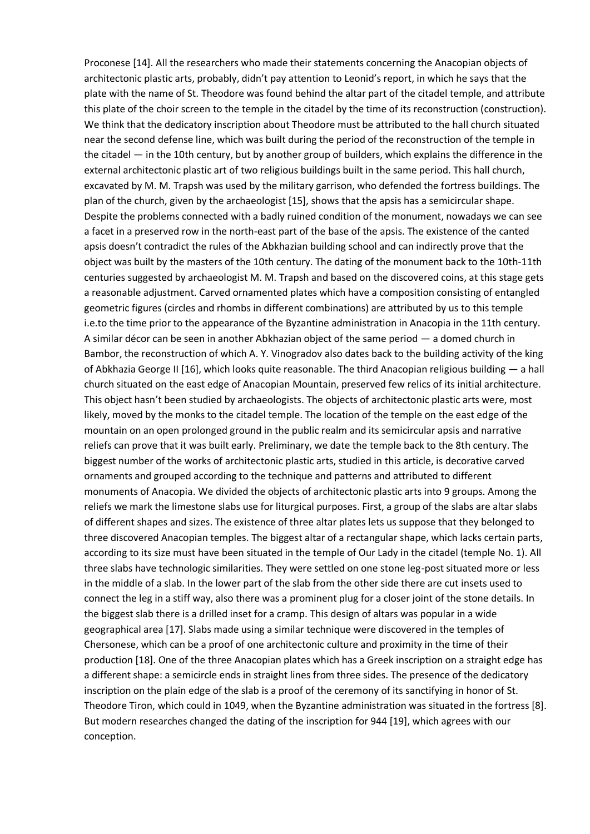Proconese [14]. All the researchers who made their statements concerning the Anacopian objects of architectonic plastic arts, probably, didn't pay attention to Leonid's report, in which he says that the plate with the name of St. Theodore was found behind the altar part of the citadel temple, and attribute this plate of the choir screen to the temple in the citadel by the time of its reconstruction (construction). We think that the dedicatory inscription about Theodore must be attributed to the hall church situated near the second defense line, which was built during the period of the reconstruction of the temple in the citadel — in the 10th century, but by another group of builders, which explains the difference in the external architectonic plastic art of two religious buildings built in the same period. This hall church, excavated by M. M. Trapsh was used by the military garrison, who defended the fortress buildings. The plan of the church, given by the archaeologist [15], shows that the apsis has a semicircular shape. Despite the problems connected with a badly ruined condition of the monument, nowadays we can see a facet in a preserved row in the north-east part of the base of the apsis. The existence of the canted apsis doesn't contradict the rules of the Abkhazian building school and can indirectly prove that the object was built by the masters of the 10th century. The dating of the monument back to the 10th-11th centuries suggested by archaeologist M. M. Trapsh and based on the discovered coins, at this stage gets a reasonable adjustment. Carved ornamented plates which have a composition consisting of entangled geometric figures (circles and rhombs in different combinations) are attributed by us to this temple i.e.to the time prior to the appearance of the Byzantine administration in Anacopia in the 11th century. A similar décor can be seen in another Abkhazian object of the same period — a domed church in Bambor, the reconstruction of which A. Y. Vinogradov also dates back to the building activity of the king of Abkhazia George II [16], which looks quite reasonable. The third Anacopian religious building — a hall church situated on the east edge of Anacopian Mountain, preserved few relics of its initial architecture. This object hasn't been studied by archaeologists. The objects of architectonic plastic arts were, most likely, moved by the monks to the citadel temple. The location of the temple on the east edge of the mountain on an open prolonged ground in the public realm and its semicircular apsis and narrative reliefs can prove that it was built early. Preliminary, we date the temple back to the 8th century. The biggest number of the works of architectonic plastic arts, studied in this article, is decorative carved ornaments and grouped according to the technique and patterns and attributed to different monuments of Anacopia. We divided the objects of architectonic plastic arts into 9 groups. Among the reliefs we mark the limestone slabs use for liturgical purposes. First, a group of the slabs are altar slabs of different shapes and sizes. The existence of three altar plates lets us suppose that they belonged to three discovered Anacopian temples. The biggest altar of a rectangular shape, which lacks certain parts, according to its size must have been situated in the temple of Our Lady in the citadel (temple No. 1). All three slabs have technologic similarities. They were settled on one stone leg-post situated more or less in the middle of a slab. In the lower part of the slab from the other side there are cut insets used to connect the leg in a stiff way, also there was a prominent plug for a closer joint of the stone details. In the biggest slab there is a drilled inset for a cramp. This design of altars was popular in a wide geographical area [17]. Slabs made using a similar technique were discovered in the temples of Chersonese, which can be a proof of one architectonic culture and proximity in the time of their production [18]. One of the three Anacopian plates which has a Greek inscription on a straight edge has a different shape: a semicircle ends in straight lines from three sides. The presence of the dedicatory inscription on the plain edge of the slab is a proof of the ceremony of its sanctifying in honor of St. Theodore Tiron, which could in 1049, when the Byzantine administration was situated in the fortress [8]. But modern researches changed the dating of the inscription for 944 [19], which agrees with our conception.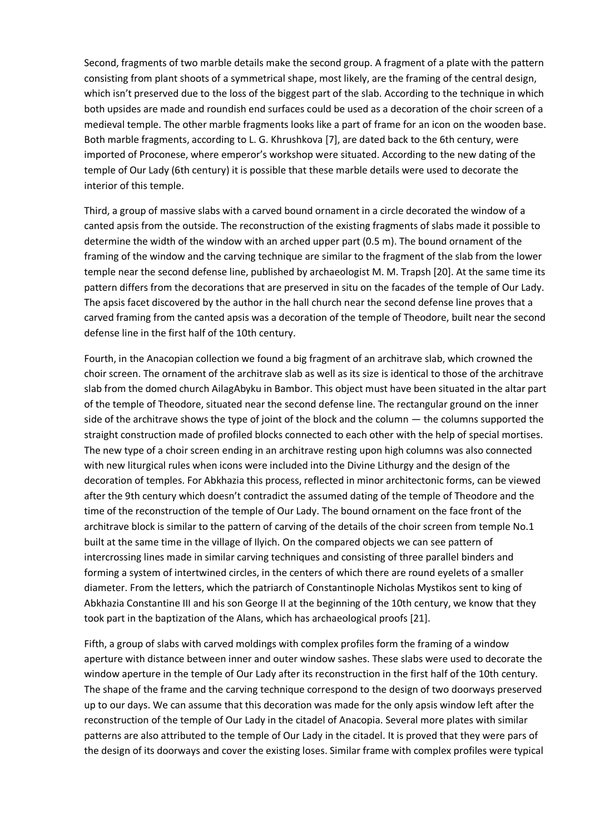Second, fragments of two marble details make the second group. A fragment of a plate with the pattern consisting from plant shoots of a symmetrical shape, most likely, are the framing of the central design, which isn't preserved due to the loss of the biggest part of the slab. According to the technique in which both upsides are made and roundish end surfaces could be used as a decoration of the choir screen of a medieval temple. The other marble fragments looks like a part of frame for an icon on the wooden base. Both marble fragments, according to L. G. Khrushkova [7], are dated back to the 6th century, were imported of Proconese, where emperor's workshop were situated. According to the new dating of the temple of Our Lady (6th century) it is possible that these marble details were used to decorate the interior of this temple.

Third, a group of massive slabs with a carved bound ornament in a circle decorated the window of a canted apsis from the outside. The reconstruction of the existing fragments of slabs made it possible to determine the width of the window with an arched upper part (0.5 m). The bound ornament of the framing of the window and the carving technique are similar to the fragment of the slab from the lower temple near the second defense line, published by archaeologist M. M. Trapsh [20]. At the same time its pattern differs from the decorations that are preserved in situ on the facades of the temple of Our Lady. The apsis facet discovered by the author in the hall church near the second defense line proves that a carved framing from the canted apsis was a decoration of the temple of Theodore, built near the second defense line in the first half of the 10th century.

Fourth, in the Anacopian collection we found a big fragment of an architrave slab, which crowned the choir screen. The ornament of the architrave slab as well as its size is identical to those of the architrave slab from the domed church AilagAbyku in Bambor. This object must have been situated in the altar part of the temple of Theodore, situated near the second defense line. The rectangular ground on the inner side of the architrave shows the type of joint of the block and the column — the columns supported the straight construction made of profiled blocks connected to each other with the help of special mortises. The new type of a choir screen ending in an architrave resting upon high columns was also connected with new liturgical rules when icons were included into the Divine Lithurgy and the design of the decoration of temples. For Abkhazia this process, reflected in minor architectonic forms, can be viewed after the 9th century which doesn't contradict the assumed dating of the temple of Theodore and the time of the reconstruction of the temple of Our Lady. The bound ornament on the face front of the architrave block is similar to the pattern of carving of the details of the choir screen from temple No.1 built at the same time in the village of Ilyich. On the compared objects we can see pattern of intercrossing lines made in similar carving techniques and consisting of three parallel binders and forming a system of intertwined circles, in the centers of which there are round eyelets of a smaller diameter. From the letters, which the patriarch of Constantinople Nicholas Mystikos sent to king of Abkhazia Constantine III and his son George II at the beginning of the 10th century, we know that they took part in the baptization of the Alans, which has archaeological proofs [21].

Fifth, a group of slabs with carved moldings with complex profiles form the framing of a window aperture with distance between inner and outer window sashes. These slabs were used to decorate the window aperture in the temple of Our Lady after its reconstruction in the first half of the 10th century. The shape of the frame and the carving technique correspond to the design of two doorways preserved up to our days. We can assume that this decoration was made for the only apsis window left after the reconstruction of the temple of Our Lady in the citadel of Anacopia. Several more plates with similar patterns are also attributed to the temple of Our Lady in the citadel. It is proved that they were pars of the design of its doorways and cover the existing loses. Similar frame with complex profiles were typical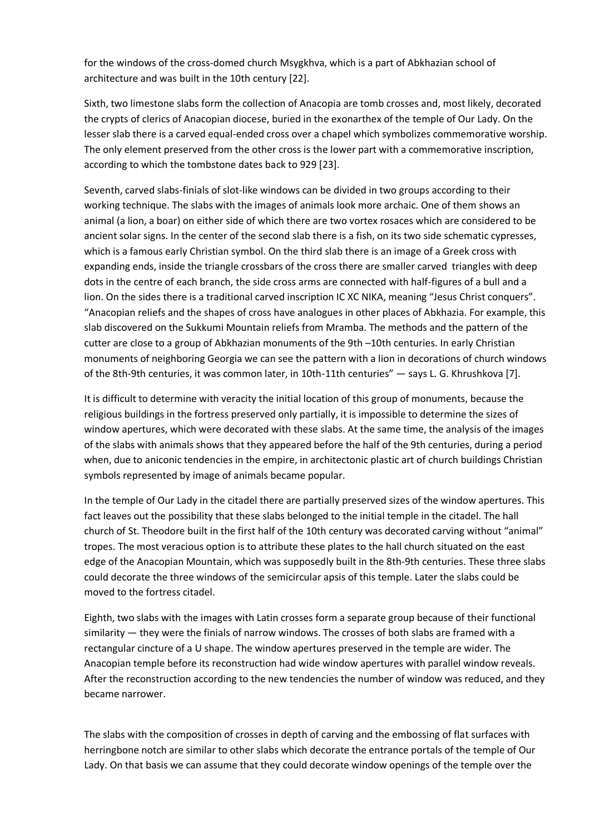for the windows of the cross-domed church Msygkhva, which is a part of Abkhazian school of architecture and was built in the 10th century [22].

Sixth, two limestone slabs form the collection of Anacopia are tomb crosses and, most likely, decorated the crypts of clerics of Anacopian diocese, buried in the exonarthex of the temple of Our Lady. On the lesser slab there is a carved equal-ended cross over a chapel which symbolizes commemorative worship. The only element preserved from the other cross is the lower part with a commemorative inscription, according to which the tombstone dates back to 929 [23].

Seventh, carved slabs-finials of slot-like windows can be divided in two groups according to their working technique. The slabs with the images of animals look more archaic. One of them shows an animal (a lion, a boar) on either side of which there are two vortex rosaces which are considered to be ancient solar signs. In the center of the second slab there is a fish, on its two side schematic cypresses, which is a famous early Christian symbol. On the third slab there is an image of a Greek cross with expanding ends, inside the triangle crossbars of the cross there are smaller carved triangles with deep dots in the centre of each branch, the side cross arms are connected with half-figures of a bull and a lion. On the sides there is a traditional carved inscription IC XC NIKA, meaning "Jesus Christ conquers". "Anacopian reliefs and the shapes of cross have analogues in other places of Abkhazia. For example, this slab discovered on the Sukkumi Mountain reliefs from Mramba. The methods and the pattern of the cutter are close to a group of Abkhazian monuments of the 9th –10th centuries. In early Christian monuments of neighboring Georgia we can see the pattern with a lion in decorations of church windows of the 8th-9th centuries, it was common later, in 10th-11th centuries" — says L. G. Khrushkova [7].

It is difficult to determine with veracity the initial location of this group of monuments, because the religious buildings in the fortress preserved only partially, it is impossible to determine the sizes of window apertures, which were decorated with these slabs. At the same time, the analysis of the images of the slabs with animals shows that they appeared before the half of the 9th centuries, during a period when, due to aniconic tendencies in the empire, in architectonic plastic art of church buildings Christian symbols represented by image of animals became popular.

In the temple of Our Lady in the citadel there are partially preserved sizes of the window apertures. This fact leaves out the possibility that these slabs belonged to the initial temple in the citadel. The hall church of St. Theodore built in the first half of the 10th century was decorated carving without "animal" tropes. The most veracious option is to attribute these plates to the hall church situated on the east edge of the Anacopian Mountain, which was supposedly built in the 8th-9th centuries. These three slabs could decorate the three windows of the semicircular apsis of this temple. Later the slabs could be moved to the fortress citadel.

Eighth, two slabs with the images with Latin crosses form a separate group because of their functional similarity — they were the finials of narrow windows. The crosses of both slabs are framed with a rectangular cincture of a U shape. The window apertures preserved in the temple are wider. The Anacopian temple before its reconstruction had wide window apertures with parallel window reveals. After the reconstruction according to the new tendencies the number of window was reduced, and they became narrower.

The slabs with the composition of crosses in depth of carving and the embossing of flat surfaces with herringbone notch are similar to other slabs which decorate the entrance portals of the temple of Our Lady. On that basis we can assume that they could decorate window openings of the temple over the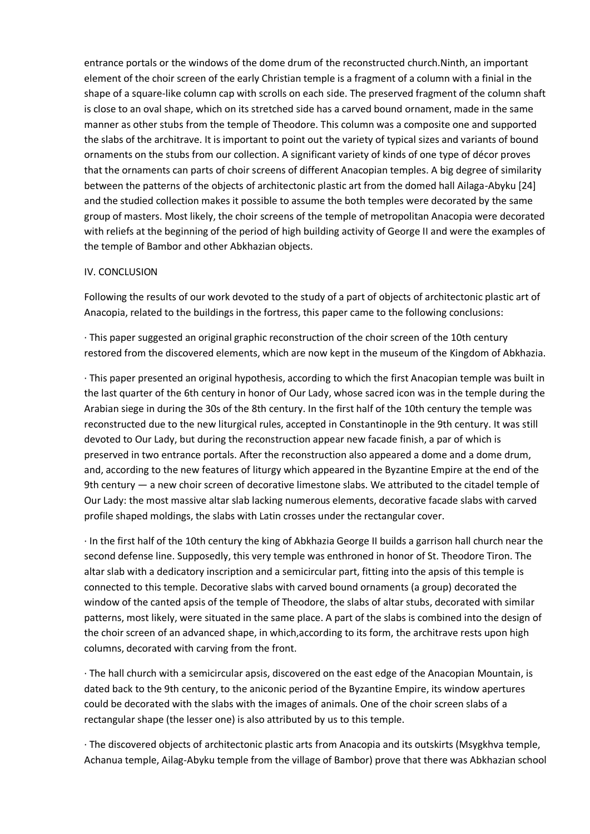entrance portals or the windows of the dome drum of the reconstructed church.Ninth, an important element of the choir screen of the early Christian temple is a fragment of a column with a finial in the shape of a square-like column cap with scrolls on each side. The preserved fragment of the column shaft is close to an oval shape, which on its stretched side has a carved bound ornament, made in the same manner as other stubs from the temple of Theodore. This column was a composite one and supported the slabs of the architrave. It is important to point out the variety of typical sizes and variants of bound ornaments on the stubs from our collection. A significant variety of kinds of one type of décor proves that the ornaments can parts of choir screens of different Anacopian temples. A big degree of similarity between the patterns of the objects of architectonic plastic art from the domed hall Ailaga-Abyku [24] and the studied collection makes it possible to assume the both temples were decorated by the same group of masters. Most likely, the choir screens of the temple of metropolitan Anacopia were decorated with reliefs at the beginning of the period of high building activity of George II and were the examples of the temple of Bambor and other Abkhazian objects.

#### IV. CONCLUSION

Following the results of our work devoted to the study of a part of objects of architectonic plastic art of Anacopia, related to the buildings in the fortress, this paper came to the following conclusions:

· This paper suggested an original graphic reconstruction of the choir screen of the 10th century restored from the discovered elements, which are now kept in the museum of the Kingdom of Abkhazia.

· This paper presented an original hypothesis, according to which the first Anacopian temple was built in the last quarter of the 6th century in honor of Our Lady, whose sacred icon was in the temple during the Arabian siege in during the 30s of the 8th century. In the first half of the 10th century the temple was reconstructed due to the new liturgical rules, accepted in Constantinople in the 9th century. It was still devoted to Our Lady, but during the reconstruction appear new facade finish, a par of which is preserved in two entrance portals. After the reconstruction also appeared a dome and a dome drum, and, according to the new features of liturgy which appeared in the Byzantine Empire at the end of the 9th century — a new choir screen of decorative limestone slabs. We attributed to the citadel temple of Our Lady: the most massive altar slab lacking numerous elements, decorative facade slabs with carved profile shaped moldings, the slabs with Latin crosses under the rectangular cover.

· In the first half of the 10th century the king of Abkhazia George II builds a garrison hall church near the second defense line. Supposedly, this very temple was enthroned in honor of St. Theodore Tiron. The altar slab with a dedicatory inscription and a semicircular part, fitting into the apsis of this temple is connected to this temple. Decorative slabs with carved bound ornaments (a group) decorated the window of the canted apsis of the temple of Theodore, the slabs of altar stubs, decorated with similar patterns, most likely, were situated in the same place. A part of the slabs is combined into the design of the choir screen of an advanced shape, in which,according to its form, the architrave rests upon high columns, decorated with carving from the front.

· The hall church with a semicircular apsis, discovered on the east edge of the Anacopian Mountain, is dated back to the 9th century, to the aniconic period of the Byzantine Empire, its window apertures could be decorated with the slabs with the images of animals. One of the choir screen slabs of a rectangular shape (the lesser one) is also attributed by us to this temple.

· The discovered objects of architectonic plastic arts from Anacopia and its outskirts (Msygkhva temple, Achanua temple, Ailag-Abyku temple from the village of Bambor) prove that there was Abkhazian school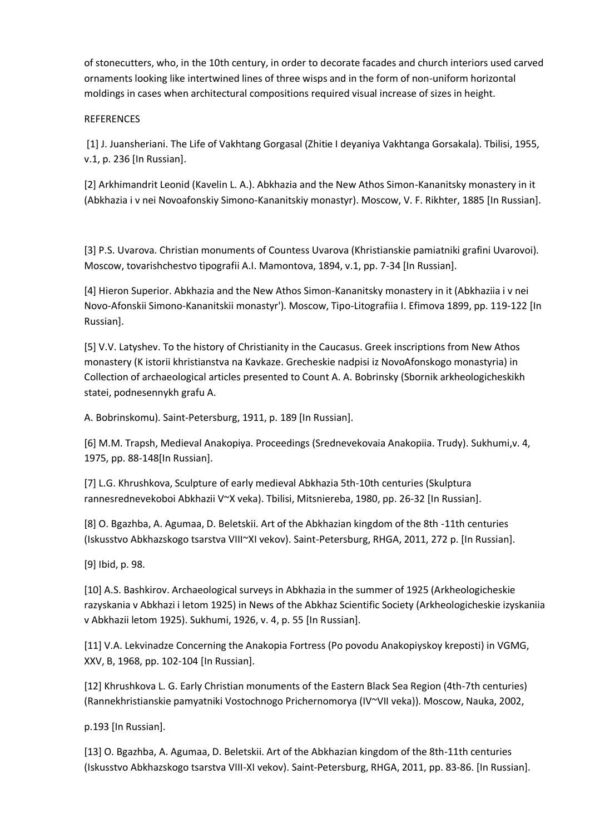of stonecutters, who, in the 10th century, in order to decorate facades and church interiors used carved ornaments looking like intertwined lines of three wisps and in the form of non-uniform horizontal moldings in cases when architectural compositions required visual increase of sizes in height.

#### **REFERENCES**

[1] J. Juansheriani. The Life of Vakhtang Gorgasal (Zhitie I deyaniya Vakhtanga Gorsakala). Tbilisi, 1955, v.1, p. 236 [In Russian].

[2] Arkhimandrit Leonid (Kavelin L. A.). Abkhazia and the New Athos Simon-Kananitsky monastery in it (Abkhazia i v nei Novoafonskiy Simono-Kananitskiy monastyr). Moscow, V. F. Rikhter, 1885 [In Russian].

[3] P.S. Uvarova. Christian monuments of Countess Uvarova (Khristianskie pamiatniki grafini Uvarovoi). Moscow, tovarishchestvo tipografii A.I. Mamontova, 1894, v.1, pp. 7-34 [In Russian].

[4] Hieron Superior. Abkhazia and the New Athos Simon-Kananitsky monastery in it (Abkhaziia i v nei Novo-Afonskii Simono-Kananitskii monastyr'). Moscow, Tipo-Litografiia I. Efimova 1899, pp. 119-122 [In Russian].

[5] V.V. Latyshev. To the history of Christianity in the Caucasus. Greek inscriptions from New Athos monastery (K istorii khristianstva na Kavkaze. Grecheskie nadpisi iz NovoAfonskogo monastyria) in Collection of archaeological articles presented to Count A. A. Bobrinsky (Sbornik arkheologicheskikh statei, podnesennykh grafu A.

A. Bobrinskomu). Saint-Petersburg, 1911, p. 189 [In Russian].

[6] M.M. Trapsh, Medieval Anakopiya. Proceedings (Srednevekovaia Anakopiia. Trudy). Sukhumi,v. 4, 1975, pp. 88-148[In Russian].

[7] L.G. Khrushkova, Sculpture of early medieval Abkhazia 5th-10th centuries (Skulptura rannesrednevekoboi Abkhazii V~X veka). Tbilisi, Mitsniereba, 1980, pp. 26-32 [In Russian].

[8] O. Bgazhba, A. Agumaa, D. Beletskii. Art of the Abkhazian kingdom of the 8th -11th centuries (Iskusstvo Abkhazskogo tsarstva VIII~XI vekov). Saint-Petersburg, RHGA, 2011, 272 p. [In Russian].

[9] Ibid, p. 98.

[10] A.S. Bashkirov. Archaeological surveys in Abkhazia in the summer of 1925 (Arkheologicheskie razyskania v Abkhazi i letom 1925) in News of the Abkhaz Scientific Society (Arkheologicheskie izyskaniia v Abkhazii letom 1925). Sukhumi, 1926, v. 4, p. 55 [In Russian].

[11] V.A. Lekvinadze Concerning the Anakopia Fortress (Po povodu Anakopiyskoy kreposti) in VGMG, XXV, B, 1968, pp. 102-104 [In Russian].

[12] Khrushkova L. G. Early Christian monuments of the Eastern Black Sea Region (4th-7th centuries) (Rannekhristianskie pamyatniki Vostochnogo Prichernomorya (IV~VII veka)). Moscow, Nauka, 2002,

p.193 [In Russian].

[13] O. Bgazhba, A. Agumaa, D. Beletskii. Art of the Abkhazian kingdom of the 8th-11th centuries (Iskusstvo Abkhazskogo tsarstva VIII-XI vekov). Saint-Petersburg, RHGA, 2011, рp. 83-86. [In Russian].